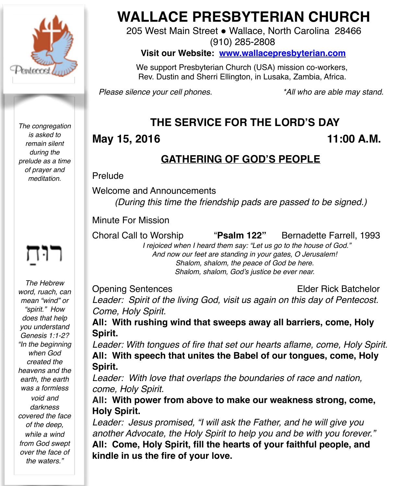

*The congregation is asked to remain silent during the prelude as a time of prayer and meditation.*



*The Hebrew word, ruach, can mean "wind" or "spirit." How does that help you understand Genesis 1:1-2? "In the beginning when God created the heavens and the earth, the earth was a formless void and darkness covered the face of the deep, while a wind from God swept over the face of the waters."*

# **WALLACE PRESBYTERIAN CHURCH**

205 West Main Street . Wallace, North Carolina 28466 (910) 285-2808

**Visit our Website: [www.wallacepresbyterian.com](http://www.wallacepresbyterian.com)**

 We support Presbyterian Church (USA) mission co-workers, Rev. Dustin and Sherri Ellington, in Lusaka, Zambia, Africa.

*Please silence your cell phones. \*All who are able may stand.*

## **THE SERVICE FOR THE LORD'S DAY**

## May 15, 2016 **11:00 A.M.**

## **GATHERING OF GOD'S PEOPLE**

Prelude

Welcome and Announcements *(During this time the friendship pads are passed to be signed.)*

Minute For Mission!! ! **!!!!! !!!** 

Choral Call to Worship "**Psalm 122"** Bernadette Farrell, 1993 *I rejoiced when I heard them say: "Let us go to the house of God." And now our feet are standing in your gates, O Jerusalem! Shalom, shalom, the peace of God be here. Shalom, shalom, God's justice be ever near.*

Opening Sentences **Elder Rick Batchelor** 

*Leader: Spirit of the living God, visit us again on this day of Pentecost. Come, Holy Spirit.*

**All: With rushing wind that sweeps away all barriers, come, Holy Spirit.**

*Leader: With tongues of fire that set our hearts aflame, come, Holy Spirit.* **All: With speech that unites the Babel of our tongues, come, Holy Spirit.**

*Leader: With love that overlaps the boundaries of race and nation, come, Holy Spirit.*

**All: With power from above to make our weakness strong, come, Holy Spirit.**

*Leader: Jesus promised, "I will ask the Father, and he will give you another Advocate, the Holy Spirit to help you and be with you forever."* **All: Come, Holy Spirit, fill the hearts of your faithful people, and kindle in us the fire of your love.**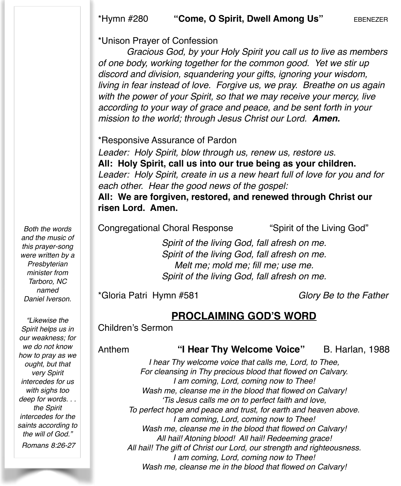\*Hymn #280 **"Come, O Spirit, Dwell Among Us"** EBENEZER

#### \*Unison Prayer of Confession

*Gracious God, by your Holy Spirit you call us to live as members of one body, working together for the common good. Yet we stir up discord and division, squandering your gifts, ignoring your wisdom, living in fear instead of love. Forgive us, we pray. Breathe on us again with the power of your Spirit, so that we may receive your mercy, live according to your way of grace and peace, and be sent forth in your mission to the world; through Jesus Christ our Lord. Amen.*

\*Responsive Assurance of Pardon

*Leader: Holy Spirit, blow through us, renew us, restore us.* **All: Holy Spirit, call us into our true being as your children.** *Leader: Holy Spirit, create in us a new heart full of love for you and for each other. Hear the good news of the gospel:* **All: We are forgiven, restored, and renewed through Christ our risen Lord. Amen.**

Congregational Choral Response "Spirit of the Living God"

*Spirit of the living God, fall afresh on me. Spirit of the living God, fall afresh on me. Melt me; mold me; fill me; use me. Spirit of the living God, fall afresh on me.*

\*Gloria Patri Hymn #581 *Glory Be to the Father*

### **PROCLAIMING GOD'S WORD**

Children's Sermon

#### Anthem **"I Hear Thy Welcome Voice"** B. Harlan, 1988

*I hear Thy welcome voice that calls me, Lord, to Thee, For cleansing in Thy precious blood that flowed on Calvary. I am coming, Lord, coming now to Thee! Wash me, cleanse me in the blood that flowed on Calvary! 'Tis Jesus calls me on to perfect faith and love, To perfect hope and peace and trust, for earth and heaven above. I am coming, Lord, coming now to Thee! Wash me, cleanse me in the blood that flowed on Calvary! All hail! Atoning blood! All hail! Redeeming grace! All hail! The gift of Christ our Lord, our strength and righteousness. I am coming, Lord, coming now to Thee! Wash me, cleanse me in the blood that flowed on Calvary!*

*Both the words and the music of this prayer-song were written by a Presbyterian minister from Tarboro, NC named Daniel Iverson.* 

*"Likewise the Spirit helps us in our weakness; for we do not know how to pray as we ought, but that very Spirit intercedes for us with sighs too deep for words. . . the Spirit intercedes for the saints according to the will of God." Romans 8:26-27*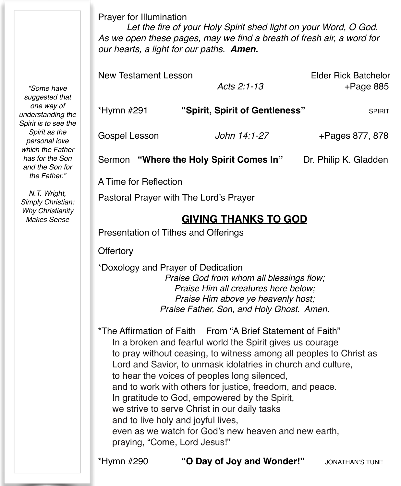Prayer for Illumination

*Let the fire of your Holy Spirit shed light on your Word, O God. As we open these pages, may we find a breath of fresh air, a word for our hearts, a light for our paths. Amen.*

New Testament Lesson **Elder Rick Batchelor** 

 *Acts 2:1-13* +Page 885

\*Hymn #291 **"Spirit, Spirit of Gentleness"** SPIRIT

Gospel Lesson *John 14:1-27* +Pages 877, 878

Sermon "Where the Holy Spirit Comes In" Dr. Philip K. Gladden

A Time for Reflection

Pastoral Prayer with The Lord's Prayer

## **GIVING THANKS TO GOD**

Presentation of Tithes and Offerings

**Offertory** 

\*Doxology and Prayer of Dedication *Praise God from whom all blessings flow; Praise Him all creatures here below; Praise Him above ye heavenly host; Praise Father, Son, and Holy Ghost. Amen.*

\*The Affirmation of Faith From "A Brief Statement of Faith" In a broken and fearful world the Spirit gives us courage to pray without ceasing, to witness among all peoples to Christ as Lord and Savior, to unmask idolatries in church and culture, to hear the voices of peoples long silenced, and to work with others for justice, freedom, and peace. In gratitude to God, empowered by the Spirit, we strive to serve Christ in our daily tasks and to live holy and joyful lives, even as we watch for God's new heaven and new earth, praying, "Come, Lord Jesus!"

\*Hymn #290 **"O Day of Joy and Wonder!"** JONATHAN'S TUNE

*"Some have suggested that one way of understanding the Spirit is to see the Spirit as the personal love which the Father has for the Son and the Son for the Father."*

*N.T. Wright, Simply Christian: Why Christianity Makes Sense*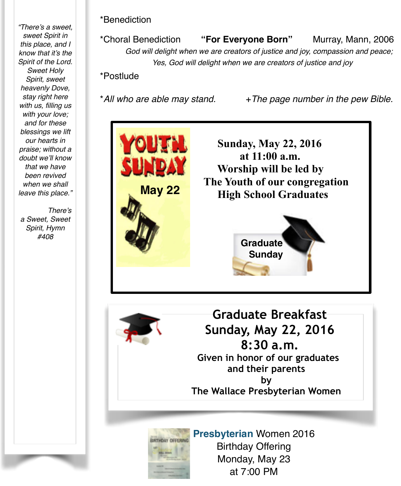*"There's a sweet, sweet Spirit in this place, and I know that it's the Spirit of the Lord. Sweet Holy Spirit, sweet heavenly Dove, stay right here with us, filling us with your love; and for these blessings we lift our hearts in praise; without a doubt we'll know that we have been revived when we shall leave this place."*

*There's a Sweet, Sweet Spirit, Hymn #408*

\*Benediction

\*Choral Benediction **"For Everyone Born"** Murray, Mann, 2006 *God will delight when we are creators of justice and joy, compassion and peace; Yes, God will delight when we are creators of justice and joy*

\*Postlude

\**All who are able may stand.* +*The page number in the pew Bible.*





**STHDAY OFFERI** 

**Presbyterian** Women 2016 Birthday Offering Monday, May 23 at 7:00 PM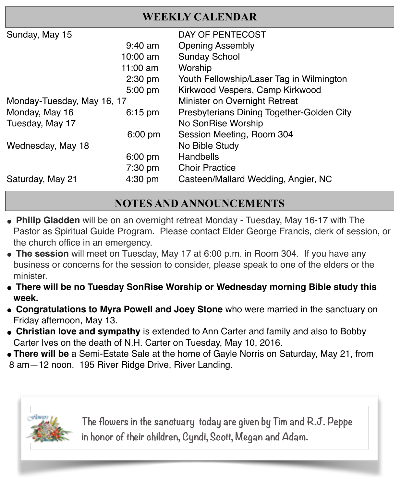|  | <b>WEEKLY CALENDAR</b> |
|--|------------------------|
|--|------------------------|

|            | DAY OF PENTECOST                          |
|------------|-------------------------------------------|
| $9:40$ am  | <b>Opening Assembly</b>                   |
| 10:00 am   | <b>Sunday School</b>                      |
| $11:00$ am | Worship                                   |
| 2:30 pm    | Youth Fellowship/Laser Tag in Wilmington  |
| 5:00 pm    | Kirkwood Vespers, Camp Kirkwood           |
|            | Minister on Overnight Retreat             |
| $6:15$ pm  | Presbyterians Dining Together-Golden City |
|            | No SonRise Worship                        |
| $6:00$ pm  | Session Meeting, Room 304                 |
|            | No Bible Study                            |
| $6:00$ pm  | Handbells                                 |
| $7:30$ pm  | <b>Choir Practice</b>                     |
| 4:30 pm    | Casteen/Mallard Wedding, Angier, NC       |
|            |                                           |

## **NOTES AND ANNOUNCEMENTS**

- Philip Gladden will be on an overnight retreat Monday Tuesday, May 16-17 with The Pastor as Spiritual Guide Program. Please contact Elder George Francis, clerk of session, or the church office in an emergency.
- The session will meet on Tuesday, May 17 at 6:00 p.m. in Room 304. If you have any business or concerns for the session to consider, please speak to one of the elders or the minister.
- " **There will be no Tuesday SonRise Worship or Wednesday morning Bible study this week.**
- **Congratulations to Myra Powell and Joey Stone** who were married in the sanctuary on Friday afternoon, May 13.
- **Christian love and sympathy** is extended to Ann Carter and family and also to Bobby Carter Ives on the death of N.H. Carter on Tuesday, May 10, 2016.
- "**There will be** a Semi-Estate Sale at the home of Gayle Norris on Saturday, May 21, from 8 am—12 noon. 195 River Ridge Drive, River Landing.



**The flowers in the sanctuary today are given by Tim and R.J. Peppe in honor of their children, Cyndi, Scott, Megan and Adam.**